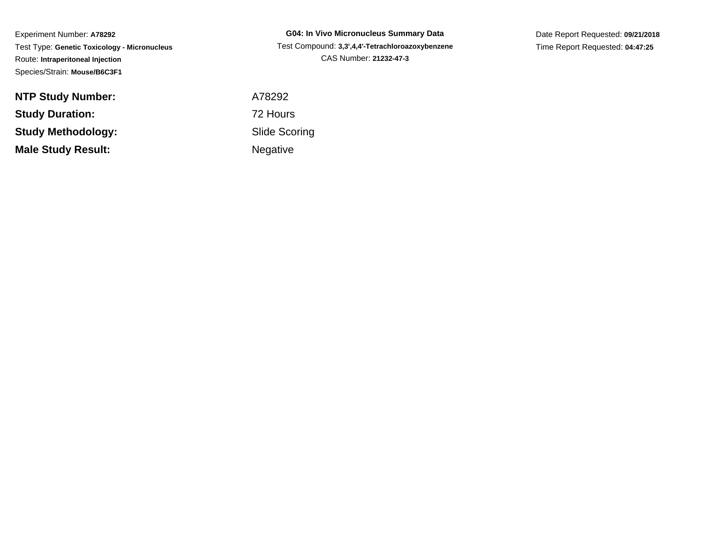Experiment Number: **A78292** Test Type: **Genetic Toxicology - Micronucleus**Route: **Intraperitoneal Injection**Species/Strain: **Mouse/B6C3F1**

**NTP Study Number:Study Duration:Study Methodology:Male Study Result:**

**G04: In Vivo Micronucleus Summary Data** Test Compound: **3,3',4,4'-Tetrachloroazoxybenzene**CAS Number: **21232-47-3**

Date Report Requested: **09/21/2018**Time Report Requested: **04:47:25**

 A78292 72 Hours Slide ScoringNegative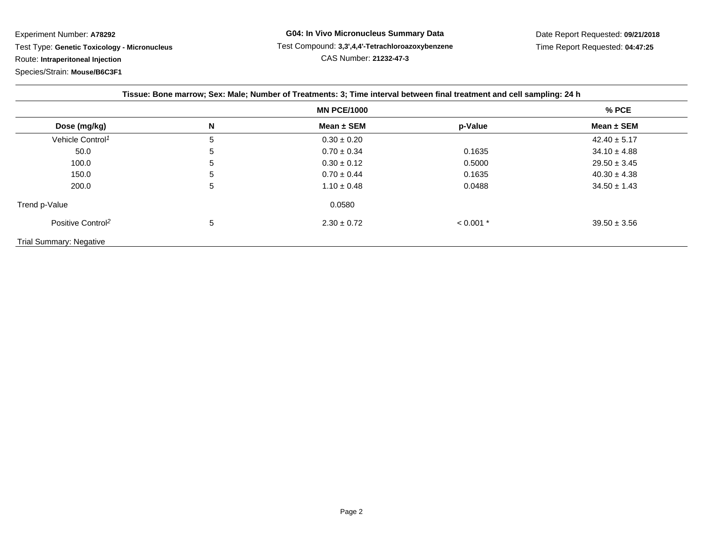Experiment Number: **A78292**Test Type: **Genetic Toxicology - Micronucleus**

Route: **Intraperitoneal Injection**

Species/Strain: **Mouse/B6C3F1**

| Tissue: Bone marrow; Sex: Male; Number of Treatments: 3; Time interval between final treatment and cell sampling: 24 h |   |                 |             |                  |
|------------------------------------------------------------------------------------------------------------------------|---|-----------------|-------------|------------------|
| <b>MN PCE/1000</b>                                                                                                     |   |                 |             | $%$ PCE          |
| Dose (mg/kg)                                                                                                           | N | Mean $\pm$ SEM  | p-Value     | Mean $\pm$ SEM   |
| Vehicle Control <sup>1</sup>                                                                                           | 5 | $0.30 \pm 0.20$ |             | $42.40 \pm 5.17$ |
| 50.0                                                                                                                   | 5 | $0.70 \pm 0.34$ | 0.1635      | $34.10 \pm 4.88$ |
| 100.0                                                                                                                  | 5 | $0.30 \pm 0.12$ | 0.5000      | $29.50 \pm 3.45$ |
| 150.0                                                                                                                  | 5 | $0.70 \pm 0.44$ | 0.1635      | $40.30 \pm 4.38$ |
| 200.0                                                                                                                  | 5 | $1.10 \pm 0.48$ | 0.0488      | $34.50 \pm 1.43$ |
| Trend p-Value                                                                                                          |   | 0.0580          |             |                  |
| Positive Control <sup>2</sup>                                                                                          | 5 | $2.30 \pm 0.72$ | $< 0.001$ * | $39.50 \pm 3.56$ |
| <b>Trial Summary: Negative</b>                                                                                         |   |                 |             |                  |